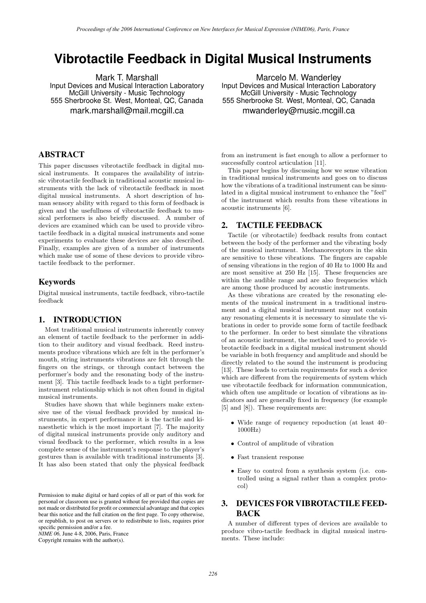# **Vibrotactile Feedback in Digital Musical Instruments**

Mark T. Marshall Input Devices and Musical Interaction Laboratory McGill University - Music Technology 555 Sherbrooke St. West, Monteal, QC, Canada mark.marshall@mail.mcgill.ca

Marcelo M. Wanderley Input Devices and Musical Interaction Laboratory McGill University - Music Technology 555 Sherbrooke St. West, Monteal, QC, Canada mwanderley@music.mcgill.ca

## ABSTRACT

This paper discusses vibrotactile feedback in digital musical instruments. It compares the availability of intrinsic vibrotactile feedback in traditional acoustic musical instruments with the lack of vibrotactile feedback in most digital musical instruments. A short description of human sensory ability with regard to this form of feedback is given and the usefullness of vibrotactile feedback to musical performers is also briefly discussed. A number of devices are examined which can be used to provide vibrotactile feedback in a digital musical instruments and some experiments to evaluate these devices are also described. Finally, examples are given of a number of instruments which make use of some of these devices to provide vibrotactile feedback to the performer.

### Keywords

Digital musical instruments, tactile feedback, vibro-tactile feedback

### 1. INTRODUCTION

Most traditional musical instruments inherently convey an element of tactile feedback to the performer in addition to their auditory and visual feedback. Reed instruments produce vibrations which are felt in the performer's mouth, string instruments vibrations are felt through the fingers on the strings, or through contact between the performer's body and the resonating body of the instrument [3]. This tactile feedback leads to a tight performerinstrument relationship which is not often found in digital musical instruments.

Studies have shown that while beginners make extensive use of the visual feedback provided by musical instruments, in expert performance it is the tactile and kinaesthetic which is the most important [7]. The majority of digital musical instruments provide only auditory and visual feedback to the performer, which results in a less complete sense of the instrument's response to the player's gestures than is available with traditional instruments [3]. It has also been stated that only the physical feedback

*NIME 06,* June 4-8, 2006, Paris, France

Copyright remains with the author(s).

from an instrument is fast enough to allow a performer to successfully control articulation [11].

This paper begins by discussing how we sense vibration in traditional musical instruments and goes on to discuss how the vibrations of a traditional instrument can be simulated in a digital musical instrument to enhance the "feel" of the instrument which results from these vibrations in acoustic instruments [6].

### 2. TACTILE FEEDBACK

Tactile (or vibrotactile) feedback results from contact between the body of the performer and the vibrating body of the musical instrument. Mechanoreceptors in the skin are sensitive to these vibrations. The fingers are capable of sensing vibrations in the region of 40 Hz to 1000 Hz and are most sensitive at 250 Hz [15]. These frequencies are within the audible range and are also frequencies which are among those produced by acoustic instruments.

As these vibrations are created by the resonating elements of the musical instrument in a traditional instrument and a digital musical instrument may not contain any resonating elements it is necessary to simulate the vibrations in order to provide some form of tactile feedback to the performer. In order to best simulate the vibrations of an acoustic instrument, the method used to provide vibrotactile feedback in a digital musical instrument should be variable in both frequency and amplitude and should be directly related to the sound the instrument is producing [13]. These leads to certain requirements for such a device which are different from the requirements of system which use vibrotactile feedback for information communication, which often use amplitude or location of vibrations as indicators and are generally fixed in frequency (for example [5] and  $[8]$ . These requirements are:

- *•* Wide range of requency repoduction (at least 40– 1000Hz)
- *•* Control of amplitude of vibration
- *•* Fast transient response
- *•* Easy to control from a synthesis system (i.e. controlled using a signal rather than a complex protocol)

# 3. DEVICES FOR VIBROTACTILE FEED-BACK

A number of different types of devices are available to produce vibro-tactile feedback in digital musical instruments. These include:

Permission to make digital or hard copies of all or part of this work for personal or classroom use is granted without fee provided that copies are not made or distributed for profit or commercial advantage and that copies bear this notice and the full citation on the first page. To copy otherwise, or republish, to post on servers or to redistribute to lists, requires prior specific permission and/or a fee.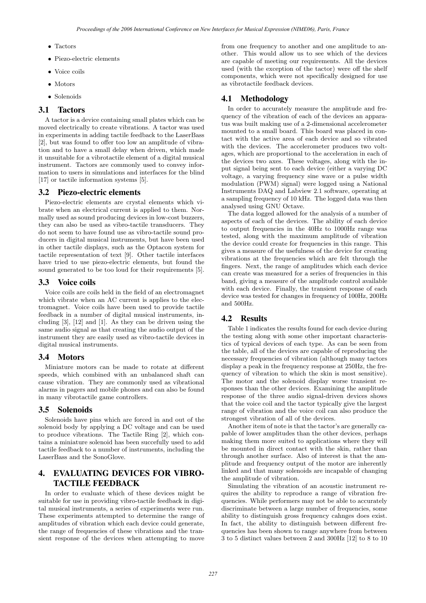- *•* Tactors
- *•* Piezo-electric elements
- *•* Voice coils
- *•* Motors
- *•* Solenoids

### 3.1 Tactors

A tactor is a device containing small plates which can be moved electrically to create vibrations. A tactor was used in experiments in adding tactile feedback to the LaserBass [2], but was found to offer too low an amplitude of vibration and to have a small delay when driven, which made it unsuitable for a vibrotactile element of a digital musical instrument. Tactors are commonly used to convey information to users in simulations and interfaces for the blind [17] or tactile information systems [5].

### 3.2 Piezo-electric elements

Piezo-electric elements are crystal elements which vibrate when an electrical current is applied to them. Normally used as sound producing devices in low-cost buzzers, they can also be used as vibro-tactile transducers. They do not seem to have found use as vibro-tactile sound producers in digital musical instruments, but have been used in other tactile displays, such as the Optacon system for tactile representation of text [9]. Other tactile interfaces have tried to use piezo-electric elements, but found the sound generated to be too loud for their requirements [5].

### 3.3 Voice coils

Voice coils are coils held in the field of an electromagnet which vibrate when an AC current is applies to the electromagnet. Voice coils have been used to provide tactile feedback in a number of digital musical instruments, including [3], [12] and [1]. As they can be driven using the same audio signal as that creating the audio output of the instrument they are easily used as vibro-tactile devices in digital musical instruments.

### 3.4 Motors

Miniature motors can be made to rotate at different speeds, which combined with an unbalanced shaft can cause vibration. They are commonly used as vibrational alarms in pagers and mobile phones and can also be found in many vibrotactile game controllers.

### 3.5 Solenoids

Solenoids have pins which are forced in and out of the solenoid body by applying a DC voltage and can be used to produce vibrations. The Tactile Ring [2], which contains a miniature solenoid has been succefully used to add tactile feedback to a number of instruments, including the LaserBass and the SonoGlove.

## 4. EVALUATING DEVICES FOR VIBRO-TACTILE FEEDBACK

In order to evaluate which of these devices might be suitable for use in providing vibro-tactile feedback in digital musical instruments, a series of experiments were run. These experiments attempted to determine the range of amplitudes of vibration which each device could generate, the range of frequencies of these vibrations and the transient response of the devices when attempting to move

from one frequency to another and one amplitude to another. This would allow us to see which of the devices are capable of meeting our requirements. All the devices used (with the exception of the tactor) were off the shelf components, which were not specifically designed for use as vibrotactile feedback devices.

### 4.1 Methodology

In order to accurately measure the amplitude and frequency of the vibration of each of the devices an apparatus was built making use of a 2-dimensional accelerometer mounted to a small board. This board was placed in contact with the active area of each device and so vibrated with the devices. The accelerometer produces two voltages, which are proportional to the acceleration in each of the devices two axes. These voltages, along with the input signal being sent to each device (either a varying DC voltage, a varying frequency sine wave or a pulse width modulation (PWM) signal) were logged using a National Instruments DAQ and Labview 2.1 software, operating at a sampling frequency of 10 kHz. The logged data was then analysed using GNU Octave.

The data logged allowed for the analysis of a number of aspects of each of the devices. The ability of each device to output frequencies in the 40Hz to 1000Hz range was tested, along with the maximum amplitude of vibration the device could create for frequencies in this range. This gives a measure of the usefulness of the device for creating vibrations at the frequencies which are felt through the fingers. Next, the range of amplitudes which each device can create was measured for a series of frequencies in this band, giving a measure of the amplitude control available with each device. Finally, the transient response of each device was tested for changes in frequency of 100Hz, 200Hz and 500Hz.

### 4.2 Results

Table 1 indicates the results found for each device during the testing along with some other important characteristics of typical devices of each type. As can be seen from the table, all of the devices are capable of reproducing the necessary frequencies of vibration (although many tactors display a peak in the frequency response at 250Hz, the frequency of vibration to which the skin is most sensitive). The motor and the solenoid display worse transient responses than the other devices. Examining the amplitude response of the three audio signal-driven devices shows that the voice coil and the tactor typically give the largest range of vibration and the voice coil can also produce the strongest vibration of all of the devices.

Another item of note is that the tactor's are generally capable of lower amplitudes than the other devices, perhaps making them more suited to applications where they will be mounted in direct contact with the skin, rather than through another surface. Also of interest is that the amplitude and frequency output of the motor are inherently linked and that many solenoids are incapable of changing the amplitude of vibration.

Simulating the vibration of an acoustic instrument requires the ability to reproduce a range of vibration frequencies. While performers may not be able to accurately discriminate between a large number of frequencies, some ability to distinguish gross frequency cahnges does exist. In fact, the ability to distinguish between different frequencies has been shown to range anywhere from between 3 to 5 distinct values between 2 and 300Hz [12] to 8 to 10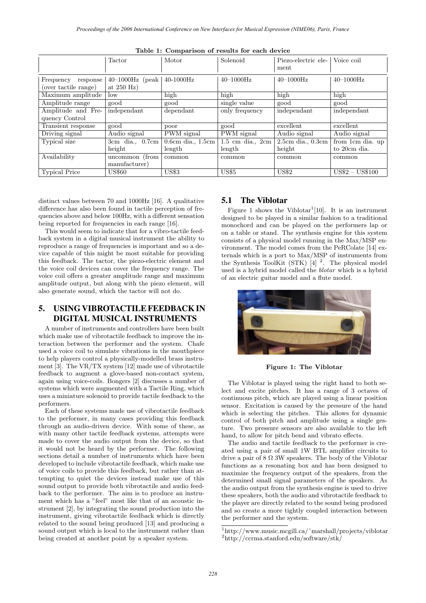|                                               | <b>Tactor</b>                       | Motor                 | Solenoid                             | Piezo-electric ele-<br>ment | Voice coil                  |
|-----------------------------------------------|-------------------------------------|-----------------------|--------------------------------------|-----------------------------|-----------------------------|
| Frequency<br>response<br>(over tactile range) | $40-1000$ Hz (peak)<br>at $250$ Hz) | $40-1000$ Hz          | $40 - 1000$ Hz                       | $40 - 1000$ Hz              | $40 - 1000$ Hz              |
| Maximum amplitude                             | low                                 | high                  | high                                 | high                        | high                        |
| Amplitude range                               | good                                | good                  | single value                         | good                        | good                        |
| Amplitude and Fre-                            | independant                         | dependant             | only frequency                       | independant                 | independant                 |
| quency Control                                |                                     |                       |                                      |                             |                             |
| Transient response                            | good                                | poor                  | good                                 | excellent                   | excellent                   |
| Driving signal                                | Audio signal                        | PWM signal            | PWM signal                           | Audio signal                | Audio signal                |
| Typical size                                  | $3cm$ dia., $0.7cm$                 | $0.6cm$ dia., $1.5cm$ | $1.5 \text{ cm}$ dia., $2 \text{cm}$ | $2.5cm$ dia., $0.3cm$       | from 1cm dia. up            |
|                                               | height                              | length                | length                               | height                      | to 20cm dia.                |
| Availability                                  | uncommon (from                      | common                | common                               | common                      | common                      |
|                                               | manufacturer)                       |                       |                                      |                             |                             |
| <b>Typical Price</b>                          | <b>US\$60</b>                       | <b>US\$3</b>          | <b>US\$5</b>                         | <b>US\$2</b>                | $\text{US$}2-\text{US$}100$ |

**Table 1: Comparison of results for each device**

distinct values between 70 and 1000Hz [16]. A qualitative difference has also been found in tactile perception of frequencies above and below 100Hz, with a different sensation being reported for frequencies in each range [16].

This would seem to indicate that for a vibro-tactile feedback system in a digital musical instrument the ability to reproduce a range of frequencies is important and so a device capable of this might be most suitable for providing this feedback. The tactor, the piezo-electric element and the voice coil devices can cover the frequency range. The voice coil offers a greater amplitude range and maximum amplitude output, but along with the piezo element, will also generate sound, which the tactor will not do.

# 5. USING VIBROTACTILE FEEDBACK IN DIGITAL MUSICAL INSTRUMENTS

A number of instruments and controllers have been built which make use of vibrotactile feedback to improve the interaction between the performer and the system. Chafe used a voice coil to simulate vibrations in the mouthpiece to help players control a physically-modelled brass instrument [3]. The VR/TX system [12] made use of vibrotactile feedback to augment a glove-based non-contact system, again using voice-coils. Bongers [2] discusses a number of systems which were augmented with a Tactile Ring, which uses a miniature solenoid to provide tactile feedback to the performers.

Each of these systems made use of vibrotactile feedback to the performer, in many cases providing this feedback through an audio-driven device. With some of these, as with many other tactile feedback systems, attempts were made to cover the audio output from the device, so that it would not be heard by the performer. The following sections detail a number of instruments which have been developed to include vibrotactile feedback, which make use of voice coils to provide this feedback, but rather than attempting to quiet the devices instead make use of this sound output to provide both vibrotactile and audio feedback to the performer. The aim is to produce an instrument which has a "feel" most like that of an acoustic instrument [2], by integrating the sound production into the instrument, giving vibrotactile feedback which is directly related to the sound being produced [13] and producing a sound output which is local to the instrument rather than being created at another point by a speaker system.

### 5.1 The Viblotar

Figure 1 shows the Viblotar<sup>1</sup>[10]. It is an instrument designed to be played in a similar fashion to a traditional monochord and can be played on the performers lap or on a table or stand. The synthesis engine for this system consists of a physical model running in the Max/MSP environment. The model comes from the PeRColate [14] externals which is a port to Max/MSP of instruments from the Synthesis ToolKit (STK)  $\left[4\right]$ <sup>2</sup>. The physical model used is a hybrid model called the *blotar* which is a hybrid of an electric guitar model and a flute model.



**Figure 1: The Viblotar**

The Viblotar is played using the right hand to both select and excite pitches. It has a range of 3 octaves of continuous pitch, which are played using a linear position sensor. Excitation is caused by the pressure of the hand which is selecting the pitches. This allows for dynamic control of both pitch and amplitude using a single gesture. Two pressure sensors are also available to the left hand, to allow for pitch bend and vibrato effects.

The audio and tactile feedback to the performer is created using a pair of small 1W BTL amplifier circuits to drive a pair of  $8 \Omega$  3W speakers. The body of the Viblotar functions as a resonating box and has been designed to maximize the frequency output of the speakers, from the determined small signal parameters of the speakers. As the audio output from the synthesis engine is used to drive these speakers, both the audio and vibrotactile feedback to the player are directly related to the sound being produced and so create a more tightly coupled interaction between the performer and the system.

<sup>1</sup>http://www.music.mcgill.ca/˜marshall/projects/viblotar <sup>2</sup>http://ccrma.stanford.edu/software/stk/